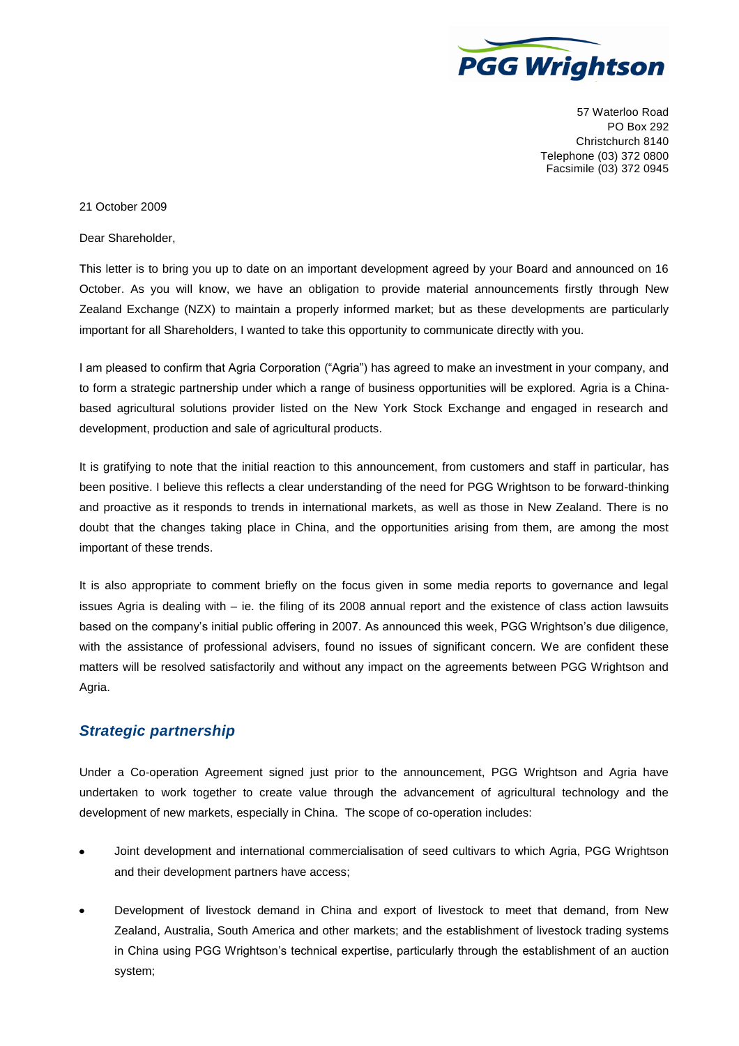

57 Waterloo Road PO Box 292 Christchurch 8140 Telephone (03) 372 0800 Facsimile (03) 372 0945

## 21 October 2009

Dear Shareholder,

This letter is to bring you up to date on an important development agreed by your Board and announced on 16 October. As you will know, we have an obligation to provide material announcements firstly through New Zealand Exchange (NZX) to maintain a properly informed market; but as these developments are particularly important for all Shareholders, I wanted to take this opportunity to communicate directly with you.

I am pleased to confirm that Agria Corporation ("Agria") has agreed to make an investment in your company, and to form a strategic partnership under which a range of business opportunities will be explored. Agria is a Chinabased agricultural solutions provider listed on the New York Stock Exchange and engaged in research and development, production and sale of agricultural products.

It is gratifying to note that the initial reaction to this announcement, from customers and staff in particular, has been positive. I believe this reflects a clear understanding of the need for PGG Wrightson to be forward-thinking and proactive as it responds to trends in international markets, as well as those in New Zealand. There is no doubt that the changes taking place in China, and the opportunities arising from them, are among the most important of these trends.

It is also appropriate to comment briefly on the focus given in some media reports to governance and legal issues Agria is dealing with – ie. the filing of its 2008 annual report and the existence of class action lawsuits based on the company's initial public offering in 2007. As announced this week, PGG Wrightson's due diligence, with the assistance of professional advisers, found no issues of significant concern. We are confident these matters will be resolved satisfactorily and without any impact on the agreements between PGG Wrightson and Agria.

## *Strategic partnership*

Under a Co-operation Agreement signed just prior to the announcement, PGG Wrightson and Agria have undertaken to work together to create value through the advancement of agricultural technology and the development of new markets, especially in China. The scope of co-operation includes:

- Joint development and international commercialisation of seed cultivars to which Agria, PGG Wrightson and their development partners have access;
- Development of livestock demand in China and export of livestock to meet that demand, from New Zealand, Australia, South America and other markets; and the establishment of livestock trading systems in China using PGG Wrightson's technical expertise, particularly through the establishment of an auction system;